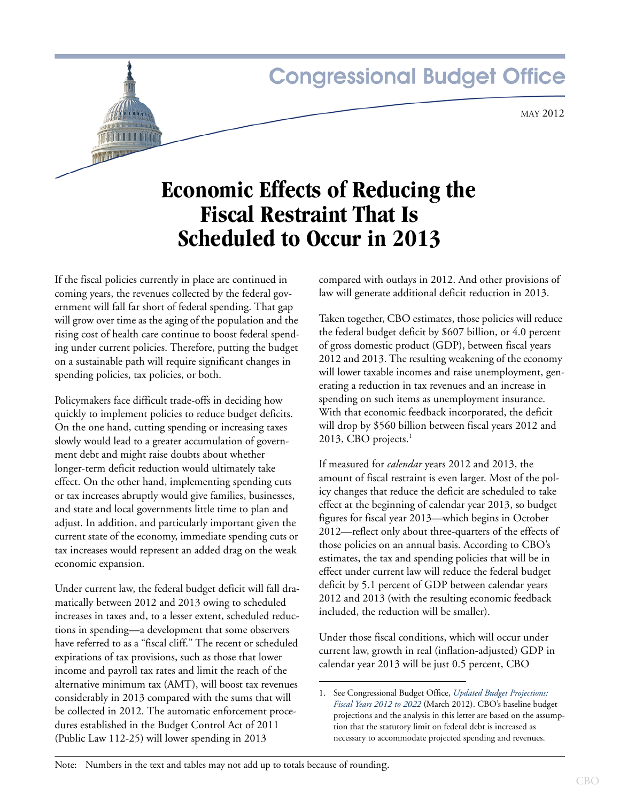# **Congressional Budget Office**

## **Economic Effects of Reducing the Fiscal Restraint That Is Scheduled to Occur in 2013**

If the fiscal policies currently in place are continued in coming years, the revenues collected by the federal government will fall far short of federal spending. That gap will grow over time as the aging of the population and the rising cost of health care continue to boost federal spending under current policies. Therefore, putting the budget on a sustainable path will require significant changes in spending policies, tax policies, or both.

Policymakers face difficult trade-offs in deciding how quickly to implement policies to reduce budget deficits. On the one hand, cutting spending or increasing taxes slowly would lead to a greater accumulation of government debt and might raise doubts about whether longer-term deficit reduction would ultimately take effect. On the other hand, implementing spending cuts or tax increases abruptly would give families, businesses, and state and local governments little time to plan and adjust. In addition, and particularly important given the current state of the economy, immediate spending cuts or tax increases would represent an added drag on the weak economic expansion.

Under current law, the federal budget deficit will fall dramatically between 2012 and 2013 owing to scheduled increases in taxes and, to a lesser extent, scheduled reductions in spending—a development that some observers have referred to as a "fiscal cliff." The recent or scheduled expirations of tax provisions, such as those that lower income and payroll tax rates and limit the reach of the alternative minimum tax (AMT), will boost tax revenues considerably in 2013 compared with the sums that will be collected in 2012. The automatic enforcement procedures established in the Budget Control Act of 2011 (Public Law 112-25) will lower spending in 2013

compared with outlays in 2012. And other provisions of law will generate additional deficit reduction in 2013.

Taken together, CBO estimates, those policies will reduce the federal budget deficit by \$607 billion, or 4.0 percent of gross domestic product (GDP), between fiscal years 2012 and 2013. The resulting weakening of the economy will lower taxable incomes and raise unemployment, generating a reduction in tax revenues and an increase in spending on such items as unemployment insurance. With that economic feedback incorporated, the deficit will drop by \$560 billion between fiscal years 2012 and 2013, CBO projects.<sup>1</sup>

If measured for *calendar* years 2012 and 2013, the amount of fiscal restraint is even larger. Most of the policy changes that reduce the deficit are scheduled to take effect at the beginning of calendar year 2013, so budget figures for fiscal year 2013—which begins in October 2012—reflect only about three-quarters of the effects of those policies on an annual basis. According to CBO's estimates, the tax and spending policies that will be in effect under current law will reduce the federal budget deficit by 5.1 percent of GDP between calendar years 2012 and 2013 (with the resulting economic feedback included, the reduction will be smaller).

Under those fiscal conditions, which will occur under current law, growth in real (inflation-adjusted) GDP in calendar year 2013 will be just 0.5 percent, CBO

<sup>1.</sup> See Congressional Budget Office, *[Updated Budget Projections:](http://www.cbo.gov/publication/43119)  [Fiscal Years 2012 to 2022](http://www.cbo.gov/publication/43119)* (March 2012). CBO's baseline budget projections and the analysis in this letter are based on the assumption that the statutory limit on federal debt is increased as necessary to accommodate projected spending and revenues.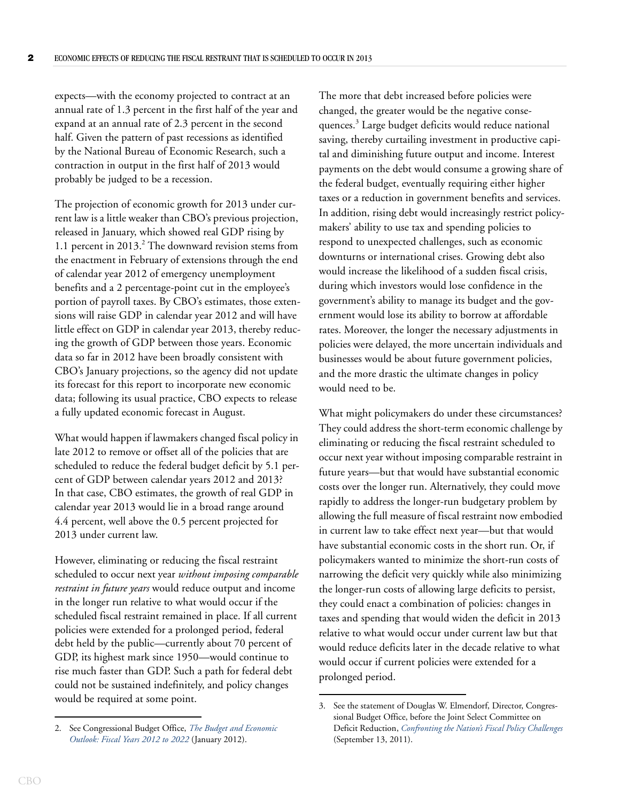expects—with the economy projected to contract at an annual rate of 1.3 percent in the first half of the year and expand at an annual rate of 2.3 percent in the second half. Given the pattern of past recessions as identified by the National Bureau of Economic Research, such a contraction in output in the first half of 2013 would probably be judged to be a recession.

The projection of economic growth for 2013 under current law is a little weaker than CBO's previous projection, released in January, which showed real GDP rising by 1.1 percent in 2013.<sup>2</sup> The downward revision stems from the enactment in February of extensions through the end of calendar year 2012 of emergency unemployment benefits and a 2 percentage-point cut in the employee's portion of payroll taxes. By CBO's estimates, those extensions will raise GDP in calendar year 2012 and will have little effect on GDP in calendar year 2013, thereby reducing the growth of GDP between those years. Economic data so far in 2012 have been broadly consistent with CBO's January projections, so the agency did not update its forecast for this report to incorporate new economic data; following its usual practice, CBO expects to release a fully updated economic forecast in August.

What would happen if lawmakers changed fiscal policy in late 2012 to remove or offset all of the policies that are scheduled to reduce the federal budget deficit by 5.1 percent of GDP between calendar years 2012 and 2013? In that case, CBO estimates, the growth of real GDP in calendar year 2013 would lie in a broad range around 4.4 percent, well above the 0.5 percent projected for 2013 under current law.

However, eliminating or reducing the fiscal restraint scheduled to occur next year *without imposing comparable restraint in future years* would reduce output and income in the longer run relative to what would occur if the scheduled fiscal restraint remained in place. If all current policies were extended for a prolonged period, federal debt held by the public—currently about 70 percent of GDP, its highest mark since 1950—would continue to rise much faster than GDP. Such a path for federal debt could not be sustained indefinitely, and policy changes would be required at some point.

The more that debt increased before policies were changed, the greater would be the negative consequences.<sup>3</sup> Large budget deficits would reduce national saving, thereby curtailing investment in productive capital and diminishing future output and income. Interest payments on the debt would consume a growing share of the federal budget, eventually requiring either higher taxes or a reduction in government benefits and services. In addition, rising debt would increasingly restrict policymakers' ability to use tax and spending policies to respond to unexpected challenges, such as economic downturns or international crises. Growing debt also would increase the likelihood of a sudden fiscal crisis, during which investors would lose confidence in the government's ability to manage its budget and the government would lose its ability to borrow at affordable rates. Moreover, the longer the necessary adjustments in policies were delayed, the more uncertain individuals and businesses would be about future government policies, and the more drastic the ultimate changes in policy would need to be.

What might policymakers do under these circumstances? They could address the short-term economic challenge by eliminating or reducing the fiscal restraint scheduled to occur next year without imposing comparable restraint in future years—but that would have substantial economic costs over the longer run. Alternatively, they could move rapidly to address the longer-run budgetary problem by allowing the full measure of fiscal restraint now embodied in current law to take effect next year—but that would have substantial economic costs in the short run. Or, if policymakers wanted to minimize the short-run costs of narrowing the deficit very quickly while also minimizing the longer-run costs of allowing large deficits to persist, they could enact a combination of policies: changes in taxes and spending that would widen the deficit in 2013 relative to what would occur under current law but that would reduce deficits later in the decade relative to what would occur if current policies were extended for a prolonged period.

<sup>2.</sup> See Congressional Budget Office, *[The Budget and Economic](http://www.cbo.gov/publication/42905)  [Outlook: Fiscal Years 2012 to 2022](http://www.cbo.gov/publication/42905)* (January 2012).

<sup>3.</sup> See the statement of Douglas W. Elmendorf, Director, Congressional Budget Office, before the Joint Select Committee on Deficit Reduction, *[Confronting the Nation's Fiscal Policy Challenges](http://www.cbo.gov/publication/42761)* (September 13, 2011).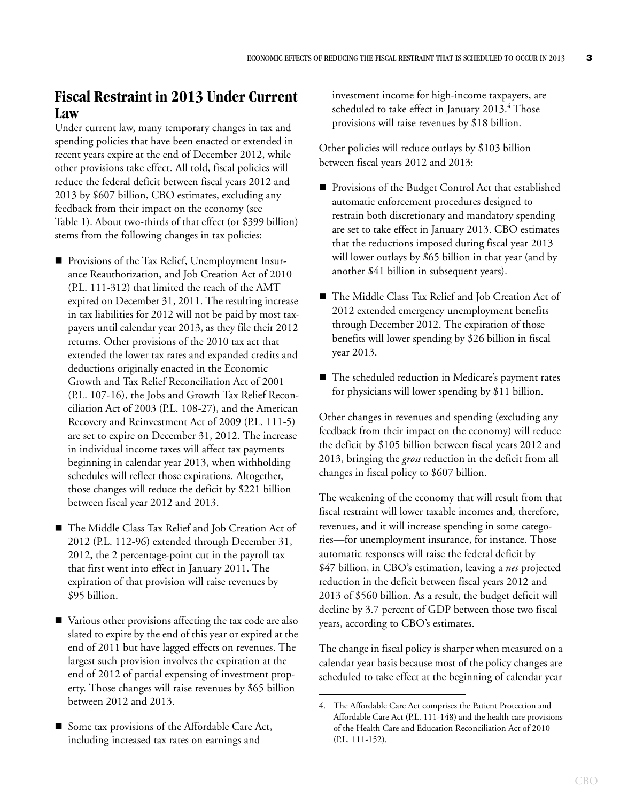### **Fiscal Restraint in 2013 Under Current Law**

Under current law, many temporary changes in tax and spending policies that have been enacted or extended in recent years expire at the end of December 2012, while other provisions take effect. All told, fiscal policies will reduce the federal deficit between fiscal years 2012 and 2013 by \$607 billion, CBO estimates, excluding any feedback from their impact on the economy (see [Table 1](#page-3-0)). About two-thirds of that effect (or \$399 billion) stems from the following changes in tax policies:

- **Provisions of the Tax Relief, Unemployment Insur**ance Reauthorization, and Job Creation Act of 2010 (P.L. 111-312) that limited the reach of the AMT expired on December 31, 2011. The resulting increase in tax liabilities for 2012 will not be paid by most taxpayers until calendar year 2013, as they file their 2012 returns. Other provisions of the 2010 tax act that extended the lower tax rates and expanded credits and deductions originally enacted in the Economic Growth and Tax Relief Reconciliation Act of 2001 (P.L. 107-16), the Jobs and Growth Tax Relief Reconciliation Act of 2003 (P.L. 108-27), and the American Recovery and Reinvestment Act of 2009 (P.L. 111-5) are set to expire on December 31, 2012. The increase in individual income taxes will affect tax payments beginning in calendar year 2013, when withholding schedules will reflect those expirations. Altogether, those changes will reduce the deficit by \$221 billion between fiscal year 2012 and 2013.
- The Middle Class Tax Relief and Job Creation Act of 2012 (P.L. 112-96) extended through December 31, 2012, the 2 percentage-point cut in the payroll tax that first went into effect in January 2011. The expiration of that provision will raise revenues by \$95 billion.
- Various other provisions affecting the tax code are also slated to expire by the end of this year or expired at the end of 2011 but have lagged effects on revenues. The largest such provision involves the expiration at the end of 2012 of partial expensing of investment property. Those changes will raise revenues by \$65 billion between 2012 and 2013.
- Some tax provisions of the Affordable Care Act, including increased tax rates on earnings and

investment income for high-income taxpayers, are scheduled to take effect in January 2013. $^4$  Those provisions will raise revenues by \$18 billion.

Other policies will reduce outlays by \$103 billion between fiscal years 2012 and 2013:

- **Provisions of the Budget Control Act that established** automatic enforcement procedures designed to restrain both discretionary and mandatory spending are set to take effect in January 2013. CBO estimates that the reductions imposed during fiscal year 2013 will lower outlays by \$65 billion in that year (and by another \$41 billion in subsequent years).
- The Middle Class Tax Relief and Job Creation Act of 2012 extended emergency unemployment benefits through December 2012. The expiration of those benefits will lower spending by \$26 billion in fiscal year 2013.
- The scheduled reduction in Medicare's payment rates for physicians will lower spending by \$11 billion.

Other changes in revenues and spending (excluding any feedback from their impact on the economy) will reduce the deficit by \$105 billion between fiscal years 2012 and 2013, bringing the *gross* reduction in the deficit from all changes in fiscal policy to \$607 billion.

The weakening of the economy that will result from that fiscal restraint will lower taxable incomes and, therefore, revenues, and it will increase spending in some categories—for unemployment insurance, for instance. Those automatic responses will raise the federal deficit by \$47 billion, in CBO's estimation, leaving a *net* projected reduction in the deficit between fiscal years 2012 and 2013 of \$560 billion. As a result, the budget deficit will decline by 3.7 percent of GDP between those two fiscal years, according to CBO's estimates.

The change in fiscal policy is sharper when measured on a calendar year basis because most of the policy changes are scheduled to take effect at the beginning of calendar year

<sup>4.</sup> The Affordable Care Act comprises the Patient Protection and Affordable Care Act (P.L. 111-148) and the health care provisions of the Health Care and Education Reconciliation Act of 2010 (P.L. 111-152).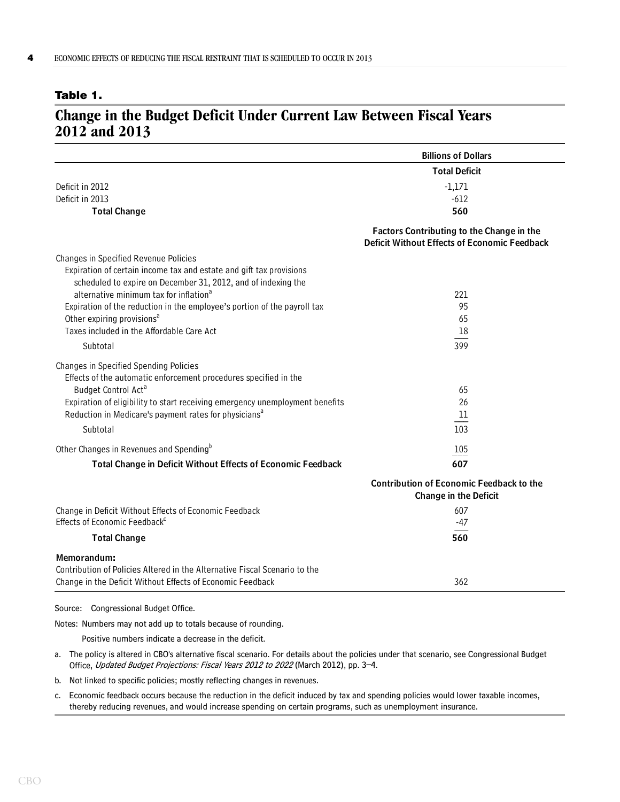#### <span id="page-3-0"></span>**Table 1.**

### **Change in the Budget Deficit Under Current Law Between Fiscal Years 2012 and 2013**

|                                                                                                                                      | <b>Billions of Dollars</b>                                                                |
|--------------------------------------------------------------------------------------------------------------------------------------|-------------------------------------------------------------------------------------------|
|                                                                                                                                      | <b>Total Deficit</b>                                                                      |
| Deficit in 2012                                                                                                                      | $-1,171$                                                                                  |
| Deficit in 2013                                                                                                                      | $-612$                                                                                    |
| <b>Total Change</b>                                                                                                                  | 560                                                                                       |
|                                                                                                                                      | Factors Contributing to the Change in the<br>Deficit Without Effects of Economic Feedback |
| Changes in Specified Revenue Policies                                                                                                |                                                                                           |
| Expiration of certain income tax and estate and gift tax provisions<br>scheduled to expire on December 31, 2012, and of indexing the |                                                                                           |
| alternative minimum tax for inflation <sup>a</sup>                                                                                   | 221                                                                                       |
| Expiration of the reduction in the employee's portion of the payroll tax                                                             | 95                                                                                        |
| Other expiring provisions <sup>a</sup>                                                                                               | 65                                                                                        |
| Taxes included in the Affordable Care Act                                                                                            | 18                                                                                        |
| Subtotal                                                                                                                             | 399                                                                                       |
| Changes in Specified Spending Policies<br>Effects of the automatic enforcement procedures specified in the                           |                                                                                           |
| Budget Control Act <sup>a</sup>                                                                                                      | 65                                                                                        |
| Expiration of eligibility to start receiving emergency unemployment benefits                                                         | 26                                                                                        |
| Reduction in Medicare's payment rates for physicians <sup>a</sup>                                                                    | 11                                                                                        |
| Subtotal                                                                                                                             | 103                                                                                       |
| Other Changes in Revenues and Spending <sup>b</sup>                                                                                  | 105                                                                                       |
| Total Change in Deficit Without Effects of Economic Feedback                                                                         | 607                                                                                       |
|                                                                                                                                      | <b>Contribution of Economic Feedback to the</b><br><b>Change in the Deficit</b>           |
| Change in Deficit Without Effects of Economic Feedback                                                                               | 607                                                                                       |
| Effects of Economic Feedback <sup>c</sup>                                                                                            | $-47$                                                                                     |
| <b>Total Change</b>                                                                                                                  | 560                                                                                       |
| Memorandum:                                                                                                                          |                                                                                           |
| Contribution of Policies Altered in the Alternative Fiscal Scenario to the                                                           |                                                                                           |
| Change in the Deficit Without Effects of Economic Feedback                                                                           | 362                                                                                       |
|                                                                                                                                      |                                                                                           |

#### Source: Congressional Budget Office.

Notes: Numbers may not add up to totals because of rounding.

Positive numbers indicate a decrease in the deficit.

- a. The policy is altered in CBO's alternative fiscal scenario. For details about the policies under that scenario, see Congressional Budget Office, Updated Budget Projections: Fiscal Years 2012 to 2022 (March 2012), pp. 3-4.
- b. Not linked to specific policies; mostly reflecting changes in revenues.
- c. Economic feedback occurs because the reduction in the deficit induced by tax and spending policies would lower taxable incomes, thereby reducing revenues, and would increase spending on certain programs, such as unemployment insurance.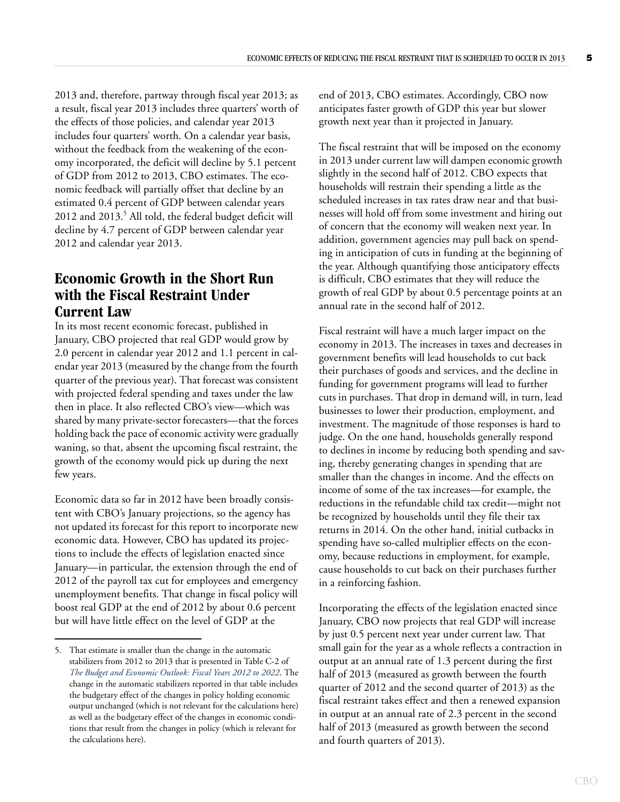2013 and, therefore, partway through fiscal year 2013; as a result, fiscal year 2013 includes three quarters' worth of the effects of those policies, and calendar year 2013 includes four quarters' worth. On a calendar year basis, without the feedback from the weakening of the economy incorporated, the deficit will decline by 5.1 percent of GDP from 2012 to 2013, CBO estimates. The economic feedback will partially offset that decline by an estimated 0.4 percent of GDP between calendar years 2012 and 2013.<sup>5</sup> All told, the federal budget deficit will decline by 4.7 percent of GDP between calendar year 2012 and calendar year 2013.

### **Economic Growth in the Short Run with the Fiscal Restraint Under Current Law**

In its most recent economic forecast, published in January, CBO projected that real GDP would grow by 2.0 percent in calendar year 2012 and 1.1 percent in calendar year 2013 (measured by the change from the fourth quarter of the previous year). That forecast was consistent with projected federal spending and taxes under the law then in place. It also reflected CBO's view—which was shared by many private-sector forecasters—that the forces holding back the pace of economic activity were gradually waning, so that, absent the upcoming fiscal restraint, the growth of the economy would pick up during the next few years.

Economic data so far in 2012 have been broadly consistent with CBO's January projections, so the agency has not updated its forecast for this report to incorporate new economic data. However, CBO has updated its projections to include the effects of legislation enacted since January—in particular, the extension through the end of 2012 of the payroll tax cut for employees and emergency unemployment benefits. That change in fiscal policy will boost real GDP at the end of 2012 by about 0.6 percent but will have little effect on the level of GDP at the

end of 2013, CBO estimates. Accordingly, CBO now anticipates faster growth of GDP this year but slower growth next year than it projected in January.

The fiscal restraint that will be imposed on the economy in 2013 under current law will dampen economic growth slightly in the second half of 2012. CBO expects that households will restrain their spending a little as the scheduled increases in tax rates draw near and that businesses will hold off from some investment and hiring out of concern that the economy will weaken next year. In addition, government agencies may pull back on spending in anticipation of cuts in funding at the beginning of the year. Although quantifying those anticipatory effects is difficult, CBO estimates that they will reduce the growth of real GDP by about 0.5 percentage points at an annual rate in the second half of 2012.

Fiscal restraint will have a much larger impact on the economy in 2013. The increases in taxes and decreases in government benefits will lead households to cut back their purchases of goods and services, and the decline in funding for government programs will lead to further cuts in purchases. That drop in demand will, in turn, lead businesses to lower their production, employment, and investment. The magnitude of those responses is hard to judge. On the one hand, households generally respond to declines in income by reducing both spending and saving, thereby generating changes in spending that are smaller than the changes in income. And the effects on income of some of the tax increases—for example, the reductions in the refundable child tax credit—might not be recognized by households until they file their tax returns in 2014. On the other hand, initial cutbacks in spending have so-called multiplier effects on the economy, because reductions in employment, for example, cause households to cut back on their purchases further in a reinforcing fashion.

Incorporating the effects of the legislation enacted since January, CBO now projects that real GDP will increase by just 0.5 percent next year under current law. That small gain for the year as a whole reflects a contraction in output at an annual rate of 1.3 percent during the first half of 2013 (measured as growth between the fourth quarter of 2012 and the second quarter of 2013) as the fiscal restraint takes effect and then a renewed expansion in output at an annual rate of 2.3 percent in the second half of 2013 (measured as growth between the second and fourth quarters of 2013).

<sup>5.</sup> That estimate is smaller than the change in the automatic stabilizers from 2012 to 2013 that is presented in Table C-2 of *[The Budget and Economic Outlook: Fiscal Years 2012 to 2022](http://www.cbo.gov/publication/42905)*. The change in the automatic stabilizers reported in that table includes the budgetary effect of the changes in policy holding economic output unchanged (which is not relevant for the calculations here) as well as the budgetary effect of the changes in economic conditions that result from the changes in policy (which is relevant for the calculations here).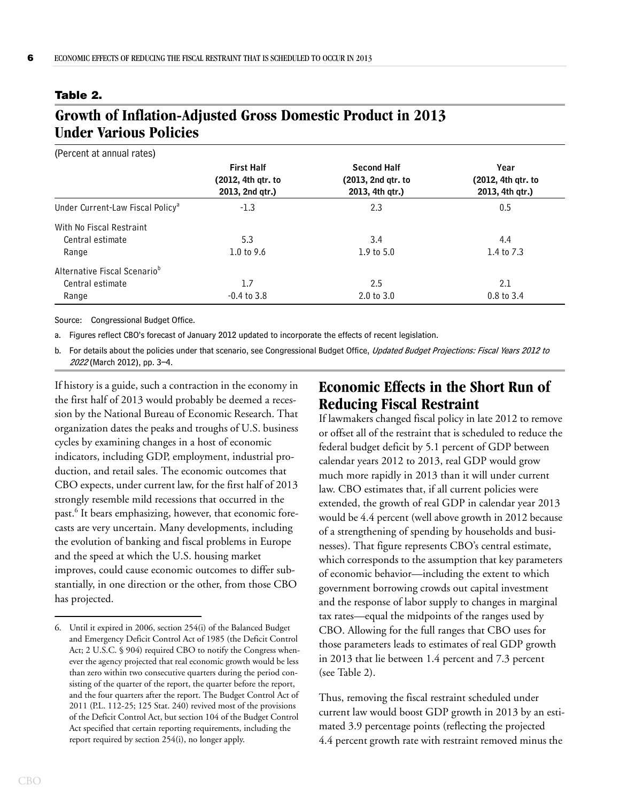#### <span id="page-5-0"></span>**Table 2.**

### **Growth of Inflation-Adjusted Gross Domestic Product in 2013 Under Various Policies**

| (Percent at annual rates)                    |                                                            |                                                             |                                               |
|----------------------------------------------|------------------------------------------------------------|-------------------------------------------------------------|-----------------------------------------------|
|                                              | <b>First Half</b><br>(2012, 4th gtr. to<br>2013, 2nd gtr.) | <b>Second Half</b><br>(2013, 2nd qtr. to<br>2013, 4th gtr.) | Year<br>(2012, 4th gtr. to<br>2013, 4th gtr.) |
|                                              |                                                            |                                                             |                                               |
|                                              |                                                            |                                                             |                                               |
| Under Current-Law Fiscal Policy <sup>a</sup> | $-1.3$                                                     | 2.3                                                         | 0.5                                           |
| With No Fiscal Restraint                     |                                                            |                                                             |                                               |
| Central estimate                             | 5.3                                                        | 3.4                                                         | 4.4                                           |
| Range                                        | 1.0 to $9.6$                                               | $1.9$ to $5.0$                                              | 1.4 to 7.3                                    |
| Alternative Fiscal Scenario <sup>b</sup>     |                                                            |                                                             |                                               |
| Central estimate                             | 1.7                                                        | 2.5                                                         | 2.1                                           |
| Range                                        | $-0.4$ to 3.8                                              | $2.0 \text{ to } 3.0$                                       | $0.8$ to 3.4                                  |

Source: Congressional Budget Office.

a. Figures reflect CBO's forecast of January 2012 updated to incorporate the effects of recent legislation.

b. For details about the policies under that scenario, see Congressional Budget Office, Updated Budget Projections: Fiscal Years 2012 to <sup>2022</sup> (March 2012), pp. 3–4.

If history is a guide, such a contraction in the economy in the first half of 2013 would probably be deemed a recession by the National Bureau of Economic Research. That organization dates the peaks and troughs of U.S. business cycles by examining changes in a host of economic indicators, including GDP, employment, industrial production, and retail sales. The economic outcomes that CBO expects, under current law, for the first half of 2013 strongly resemble mild recessions that occurred in the past.<sup>6</sup> It bears emphasizing, however, that economic forecasts are very uncertain. Many developments, including the evolution of banking and fiscal problems in Europe and the speed at which the U.S. housing market improves, could cause economic outcomes to differ substantially, in one direction or the other, from those CBO has projected.

### **Economic Effects in the Short Run of Reducing Fiscal Restraint**

If lawmakers changed fiscal policy in late 2012 to remove or offset all of the restraint that is scheduled to reduce the federal budget deficit by 5.1 percent of GDP between calendar years 2012 to 2013, real GDP would grow much more rapidly in 2013 than it will under current law. CBO estimates that, if all current policies were extended, the growth of real GDP in calendar year 2013 would be 4.4 percent (well above growth in 2012 because of a strengthening of spending by households and businesses). That figure represents CBO's central estimate, which corresponds to the assumption that key parameters of economic behavior—including the extent to which government borrowing crowds out capital investment and the response of labor supply to changes in marginal tax rates—equal the midpoints of the ranges used by CBO. Allowing for the full ranges that CBO uses for those parameters leads to estimates of real GDP growth in 2013 that lie between 1.4 percent and 7.3 percent (see [Table 2\)](#page-5-0).

Thus, removing the fiscal restraint scheduled under current law would boost GDP growth in 2013 by an estimated 3.9 percentage points (reflecting the projected 4.4 percent growth rate with restraint removed minus the

<sup>6.</sup> Until it expired in 2006, section 254(i) of the Balanced Budget and Emergency Deficit Control Act of 1985 (the Deficit Control Act; 2 U.S.C. § 904) required CBO to notify the Congress whenever the agency projected that real economic growth would be less than zero within two consecutive quarters during the period consisting of the quarter of the report, the quarter before the report, and the four quarters after the report. The Budget Control Act of 2011 (P.L. 112-25; 125 Stat. 240) revived most of the provisions of the Deficit Control Act, but section 104 of the Budget Control Act specified that certain reporting requirements, including the report required by section 254(i), no longer apply.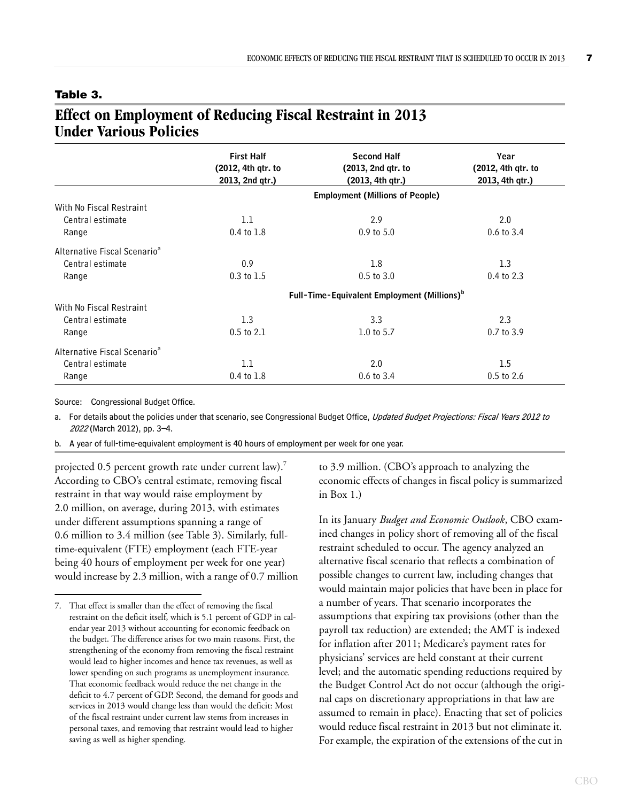### <span id="page-6-0"></span>**Table 3.**

### **Effect on Employment of Reducing Fiscal Restraint in 2013 Under Various Policies**

|                                          | <b>First Half</b>                                       | <b>Second Half</b> | Year               |  |
|------------------------------------------|---------------------------------------------------------|--------------------|--------------------|--|
|                                          | (2012, 4th qtr. to                                      | (2013, 2nd gtr. to | (2012, 4th qtr. to |  |
|                                          | 2013, 2nd qtr.)                                         | (2013, 4th qtr.)   | 2013, 4th qtr.)    |  |
|                                          | <b>Employment (Millions of People)</b>                  |                    |                    |  |
| With No Fiscal Restraint                 |                                                         |                    |                    |  |
| Central estimate                         | 1.1                                                     | 2.9                | 2.0                |  |
| Range                                    | $0.4$ to $1.8$                                          | $0.9$ to $5.0$     | $0.6$ to $3.4$     |  |
| Alternative Fiscal Scenario <sup>a</sup> |                                                         |                    |                    |  |
| Central estimate                         | 0.9                                                     | 1.8                | 1.3                |  |
| Range                                    | $0.3$ to $1.5$                                          | $0.5$ to $3.0$     | $0.4$ to 2.3       |  |
|                                          | Full-Time-Equivalent Employment (Millions) <sup>b</sup> |                    |                    |  |
| With No Fiscal Restraint                 |                                                         |                    |                    |  |
| Central estimate                         | 1.3                                                     | 3.3                | 2.3                |  |
| Range                                    | $0.5$ to $2.1$                                          | 1.0 to $5.7$       | 0.7 to 3.9         |  |
| Alternative Fiscal Scenario <sup>a</sup> |                                                         |                    |                    |  |
| Central estimate                         | 1.1                                                     | 2.0                | 1.5                |  |
| Range                                    | 0.4 to 1.8                                              | $0.6$ to $3.4$     | 0.5 to 2.6         |  |

Source: Congressional Budget Office.

a. For details about the policies under that scenario, see Congressional Budget Office, Updated Budget Projections: Fiscal Years 2012 to <sup>2022</sup> (March 2012), pp. 3–4.

b. A year of full-time-equivalent employment is 40 hours of employment per week for one year.

projected 0.5 percent growth rate under current law).<sup>7</sup> According to CBO's central estimate, removing fiscal restraint in that way would raise employment by 2.0 million, on average, during 2013, with estimates under different assumptions spanning a range of 0.6 million to 3.4 million (see [Table 3](#page-6-0)). Similarly, fulltime-equivalent (FTE) employment (each FTE-year being 40 hours of employment per week for one year) would increase by 2.3 million, with a range of 0.7 million to 3.9 million. (CBO's approach to analyzing the economic effects of changes in fiscal policy is summarized in [Box 1](#page-7-0).)

In its January *Budget and Economic Outlook*, CBO examined changes in policy short of removing all of the fiscal restraint scheduled to occur. The agency analyzed an alternative fiscal scenario that reflects a combination of possible changes to current law, including changes that would maintain major policies that have been in place for a number of years. That scenario incorporates the assumptions that expiring tax provisions (other than the payroll tax reduction) are extended; the AMT is indexed for inflation after 2011; Medicare's payment rates for physicians' services are held constant at their current level; and the automatic spending reductions required by the Budget Control Act do not occur (although the original caps on discretionary appropriations in that law are assumed to remain in place). Enacting that set of policies would reduce fiscal restraint in 2013 but not eliminate it. For example, the expiration of the extensions of the cut in

<sup>7.</sup> That effect is smaller than the effect of removing the fiscal restraint on the deficit itself, which is 5.1 percent of GDP in calendar year 2013 without accounting for economic feedback on the budget. The difference arises for two main reasons. First, the strengthening of the economy from removing the fiscal restraint would lead to higher incomes and hence tax revenues, as well as lower spending on such programs as unemployment insurance. That economic feedback would reduce the net change in the deficit to 4.7 percent of GDP. Second, the demand for goods and services in 2013 would change less than would the deficit: Most of the fiscal restraint under current law stems from increases in personal taxes, and removing that restraint would lead to higher saving as well as higher spending.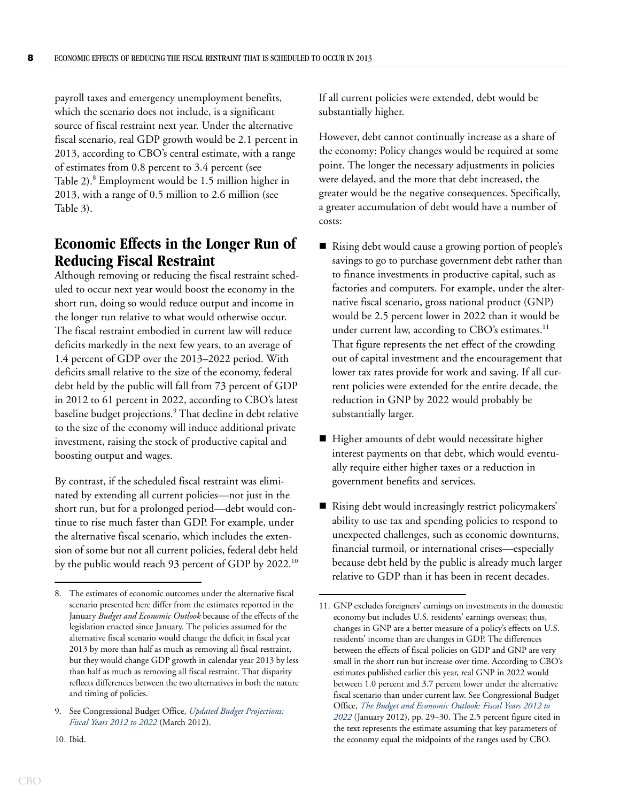<span id="page-7-0"></span>payroll taxes and emergency unemployment benefits, which the scenario does not include, is a significant source of fiscal restraint next year. Under the alternative fiscal scenario, real GDP growth would be 2.1 percent in 2013, according to CBO's central estimate, with a range of estimates from 0.8 percent to 3.4 percent (see Table 2).<sup>8</sup> Employment would be 1.5 million higher in 2013, with a range of 0.5 million to 2.6 million (see Table 3).

### **Economic Effects in the Longer Run of Reducing Fiscal Restraint**

Although removing or reducing the fiscal restraint scheduled to occur next year would boost the economy in the short run, doing so would reduce output and income in the longer run relative to what would otherwise occur. The fiscal restraint embodied in current law will reduce deficits markedly in the next few years, to an average of 1.4 percent of GDP over the 2013–2022 period. With deficits small relative to the size of the economy, federal debt held by the public will fall from 73 percent of GDP in 2012 to 61 percent in 2022, according to CBO's latest baseline budget projections.<sup>9</sup> That decline in debt relative to the size of the economy will induce additional private investment, raising the stock of productive capital and boosting output and wages.

By contrast, if the scheduled fiscal restraint was eliminated by extending all current policies—not just in the short run, but for a prolonged period—debt would continue to rise much faster than GDP. For example, under the alternative fiscal scenario, which includes the extension of some but not all current policies, federal debt held by the public would reach 93 percent of GDP by 2022.<sup>10</sup>

10. Ibid.

If all current policies were extended, debt would be substantially higher.

However, debt cannot continually increase as a share of the economy: Policy changes would be required at some point. The longer the necessary adjustments in policies were delayed, and the more that debt increased, the greater would be the negative consequences. Specifically, a greater accumulation of debt would have a number of costs:

- Rising debt would cause a growing portion of people's savings to go to purchase government debt rather than to finance investments in productive capital, such as factories and computers. For example, under the alternative fiscal scenario, gross national product (GNP) would be 2.5 percent lower in 2022 than it would be under current law, according to  $CBO$ 's estimates.<sup>11</sup> That figure represents the net effect of the crowding out of capital investment and the encouragement that lower tax rates provide for work and saving. If all current policies were extended for the entire decade, the reduction in GNP by 2022 would probably be substantially larger.
- Higher amounts of debt would necessitate higher interest payments on that debt, which would eventually require either higher taxes or a reduction in government benefits and services.
- Rising debt would increasingly restrict policymakers' ability to use tax and spending policies to respond to unexpected challenges, such as economic downturns, financial turmoil, or international crises—especially because debt held by the public is already much larger relative to GDP than it has been in recent decades.

<sup>8.</sup> The estimates of economic outcomes under the alternative fiscal scenario presented here differ from the estimates reported in the January *Budget and Economic Outlook* because of the effects of the legislation enacted since January. The policies assumed for the alternative fiscal scenario would change the deficit in fiscal year 2013 by more than half as much as removing all fiscal restraint, but they would change GDP growth in calendar year 2013 by less than half as much as removing all fiscal restraint. That disparity reflects differences between the two alternatives in both the nature and timing of policies.

<sup>9.</sup> See Congressional Budget Office, *[Updated Budget Projections:](http://www.cbo.gov/publication/43119)  [Fiscal Years 2012 to 2022](http://www.cbo.gov/publication/43119)* (March 2012).

<sup>11.</sup> GNP excludes foreigners' earnings on investments in the domestic economy but includes U.S. residents' earnings overseas; thus, changes in GNP are a better measure of a policy's effects on U.S. residents' income than are changes in GDP. The differences between the effects of fiscal policies on GDP and GNP are very small in the short run but increase over time. According to CBO's estimates published earlier this year, real GNP in 2022 would between 1.0 percent and 3.7 percent lower under the alternative fiscal scenario than under current law. See Congressional Budget Office, *[The Budget and Economic Outlook: Fiscal Years 2012 to](http://www.cbo.gov/publication/42905)  [2022](http://www.cbo.gov/publication/42905)* (January 2012), pp. 29–30. The 2.5 percent figure cited in the text represents the estimate assuming that key parameters of the economy equal the midpoints of the ranges used by CBO.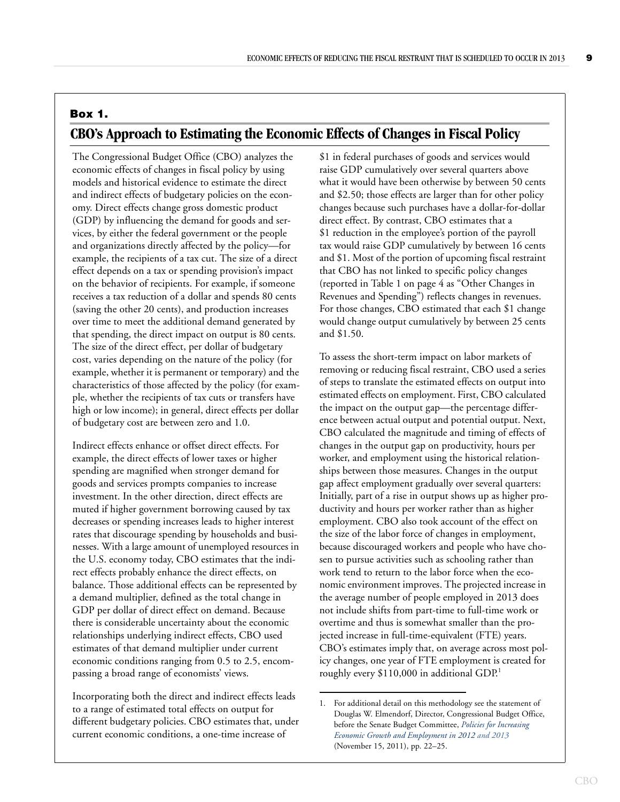## **Box 1. CBO's Approach to Estimating the Economic Effects of Changes in Fiscal Policy**

The Congressional Budget Office (CBO) analyzes the economic effects of changes in fiscal policy by using models and historical evidence to estimate the direct and indirect effects of budgetary policies on the economy. Direct effects change gross domestic product (GDP) by influencing the demand for goods and services, by either the federal government or the people and organizations directly affected by the policy—for example, the recipients of a tax cut. The size of a direct effect depends on a tax or spending provision's impact on the behavior of recipients. For example, if someone receives a tax reduction of a dollar and spends 80 cents (saving the other 20 cents), and production increases over time to meet the additional demand generated by that spending, the direct impact on output is 80 cents. The size of the direct effect, per dollar of budgetary cost, varies depending on the nature of the policy (for example, whether it is permanent or temporary) and the characteristics of those affected by the policy (for example, whether the recipients of tax cuts or transfers have high or low income); in general, direct effects per dollar of budgetary cost are between zero and 1.0.

Indirect effects enhance or offset direct effects. For example, the direct effects of lower taxes or higher spending are magnified when stronger demand for goods and services prompts companies to increase investment. In the other direction, direct effects are muted if higher government borrowing caused by tax decreases or spending increases leads to higher interest rates that discourage spending by households and businesses. With a large amount of unemployed resources in the U.S. economy today, CBO estimates that the indirect effects probably enhance the direct effects, on balance. Those additional effects can be represented by a demand multiplier, defined as the total change in GDP per dollar of direct effect on demand. Because there is considerable uncertainty about the economic relationships underlying indirect effects, CBO used estimates of that demand multiplier under current economic conditions ranging from 0.5 to 2.5, encompassing a broad range of economists' views.

Incorporating both the direct and indirect effects leads to a range of estimated total effects on output for different budgetary policies. CBO estimates that, under current economic conditions, a one-time increase of

\$1 in federal purchases of goods and services would raise GDP cumulatively over several quarters above what it would have been otherwise by between 50 cents and \$2.50; those effects are larger than for other policy changes because such purchases have a dollar-for-dollar direct effect. By contrast, CBO estimates that a \$1 reduction in the employee's portion of the payroll tax would raise GDP cumulatively by between 16 cents and \$1. Most of the portion of upcoming fiscal restraint that CBO has not linked to specific policy changes (reported in Table 1 on page 4 as "Other Changes in Revenues and Spending") reflects changes in revenues. For those changes, CBO estimated that each \$1 change would change output cumulatively by between 25 cents and \$1.50.

To assess the short-term impact on labor markets of removing or reducing fiscal restraint, CBO used a series of steps to translate the estimated effects on output into estimated effects on employment. First, CBO calculated the impact on the output gap—the percentage difference between actual output and potential output. Next, CBO calculated the magnitude and timing of effects of changes in the output gap on productivity, hours per worker, and employment using the historical relationships between those measures. Changes in the output gap affect employment gradually over several quarters: Initially, part of a rise in output shows up as higher productivity and hours per worker rather than as higher employment. CBO also took account of the effect on the size of the labor force of changes in employment, because discouraged workers and people who have chosen to pursue activities such as schooling rather than work tend to return to the labor force when the economic environment improves. The projected increase in the average number of people employed in 2013 does not include shifts from part-time to full-time work or overtime and thus is somewhat smaller than the projected increase in full-time-equivalent (FTE) years. CBO's estimates imply that, on average across most policy changes, one year of FTE employment is created for roughly every \$110,000 in additional GDP.<sup>1</sup>

<sup>1.</sup> For additional detail on this methodology see the statement of Douglas W. Elmendorf, Director, Congressional Budget Office, before the Senate Budget Committee, *[Policies for Increasing](http://www.cbo.gov/publication/42717)  [Economic Growth and Employment in 2012 and 2013](http://www.cbo.gov/publication/42717)* (November 15, 2011), pp. 22–25.